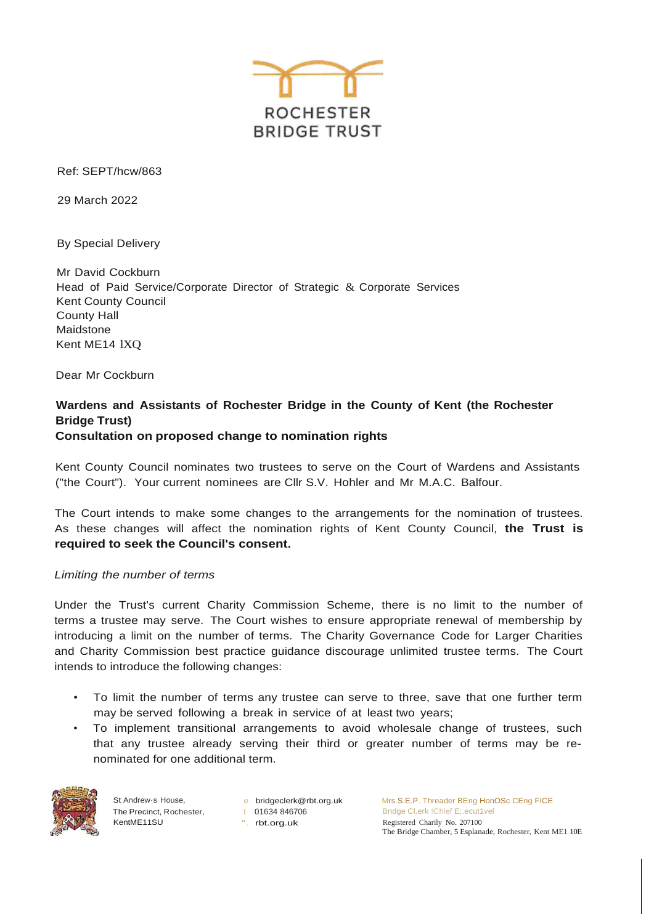

Ref: SEPT/hcw/863

29 March 2022

By Special Delivery

Mr David Cockburn Head of Paid Service/Corporate Director of Strategic & Corporate Services Kent County Council County Hall Maidstone Kent ME14 lXQ

Dear Mr Cockburn

# **Wardens and Assistants of Rochester Bridge in the County of Kent (the Rochester Bridge Trust) Consultation on proposed change to nomination rights**

Kent County Council nominates two trustees to serve on the Court of Wardens and Assistants ("the Court"). Your current nominees are Cllr S.V. Hohler and Mr M.A.C. Balfour.

The Court intends to make some changes to the arrangements for the nomination of trustees. As these changes will affect the nomination rights of Kent County Council, **the Trust is required to seek the Council's consent.**

## *Limiting the number of terms*

Under the Trust's current Charity Commission Scheme, there is no limit to the number of terms a trustee may serve. The Court wishes to ensure appropriate renewal of membership by introducing a limit on the number of terms. The Charity Governance Code for Larger Charities and Charity Commission best practice guidance discourage unlimited trustee terms. The Court intends to introduce the following changes:

- To limit the number of terms any trustee can serve to three, save that one further term may be served following a break in service of at least two years;
- To implement transitional arrangements to avoid wholesale change of trustees, such that any trustee already serving their third or greater number of terms may be renominated for one additional term.



St Andrew·s House, The Precinct, Rochester, KentME11SU

e [bridgeclerk@rbt.org.uk](mailto:bridgeclerk@rbt.org.uk) I 01634 846706 ". rbt.org.uk

Mrs S.E.P. Threader BEng HonOSc CEng FICE Bndge Cl.erk !Chief E;.ecut1vel Registered Charily No. 207100 The Bridge Chamber, 5 Esplanade, Rochester, Kent ME1 10E